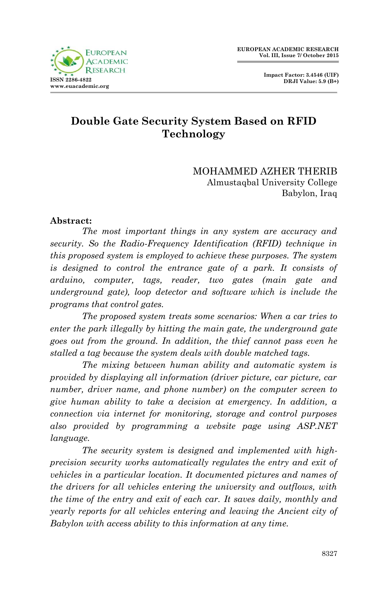

 **Impact Factor: 3.4546 (UIF) DRJI Value: 5.9 (B+)**

# **Double Gate Security System Based on RFID Technology**

MOHAMMED AZHER THERIB Almustaqbal University College Babylon, Iraq

#### **Abstract:**

*The most important things in any system are accuracy and security. So the Radio-Frequency Identification (RFID) technique in this proposed system is employed to achieve these purposes. The system is designed to control the entrance gate of a park. It consists of arduino, computer, tags, reader, two gates (main gate and underground gate), loop detector and software which is include the programs that control gates.*

*The proposed system treats some scenarios: When a car tries to enter the park illegally by hitting the main gate, the underground gate goes out from the ground. In addition, the thief cannot pass even he stalled a tag because the system deals with double matched tags.*

*The mixing between human ability and automatic system is provided by displaying all information (driver picture, car picture, car number, driver name, and phone number) on the computer screen to give human ability to take a decision at emergency. In addition, a connection via internet for monitoring, storage and control purposes also provided by programming a website page using ASP.NET language.*

*The security system is designed and implemented with highprecision security works automatically regulates the entry and exit of vehicles in a particular location. It documented pictures and names of the drivers for all vehicles entering the university and outflows, with the time of the entry and exit of each car. It saves daily, monthly and yearly reports for all vehicles entering and leaving the Ancient city of Babylon with access ability to this information at any time.*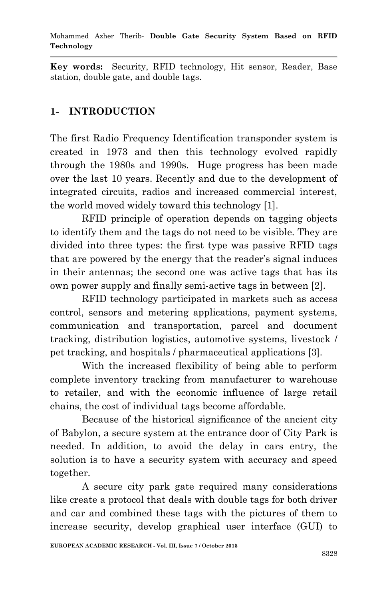**Key words:** Security, RFID technology, Hit sensor, Reader, Base station, double gate, and double tags.

# **1- INTRODUCTION**

The first Radio Frequency Identification transponder system is created in 1973 and then this technology evolved rapidly through the 1980s and 1990s. Huge progress has been made over the last 10 years. Recently and due to the development of integrated circuits, radios and increased commercial interest, the world moved widely toward this technology [1].

RFID principle of operation depends on tagging objects to identify them and the tags do not need to be visible. They are divided into three types: the first type was passive RFID tags that are powered by the energy that the reader's signal induces in their antennas; the second one was active tags that has its own power supply and finally semi-active tags in between [2].

RFID technology participated in markets such as access control, sensors and metering applications, payment systems, communication and transportation, parcel and document tracking, distribution logistics, automotive systems, livestock / pet tracking, and hospitals / pharmaceutical applications [3].

With the increased flexibility of being able to perform complete inventory tracking from manufacturer to warehouse to retailer, and with the economic influence of large retail chains, the cost of individual tags become affordable.

Because of the historical significance of the ancient city of Babylon, a secure system at the entrance door of City Park is needed. In addition, to avoid the delay in cars entry, the solution is to have a security system with accuracy and speed together.

A secure city park gate required many considerations like create a protocol that deals with double tags for both driver and car and combined these tags with the pictures of them to increase security, develop graphical user interface (GUI) to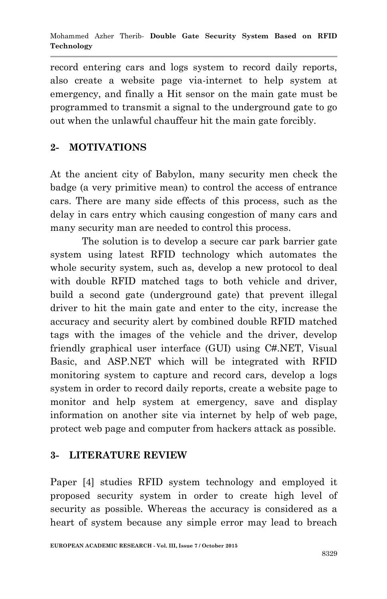record entering cars and logs system to record daily reports, also create a website page via-internet to help system at emergency, and finally a Hit sensor on the main gate must be programmed to transmit a signal to the underground gate to go out when the unlawful chauffeur hit the main gate forcibly.

# **2- MOTIVATIONS**

At the ancient city of Babylon, many security men check the badge (a very primitive mean) to control the access of entrance cars. There are many side effects of this process, such as the delay in cars entry which causing congestion of many cars and many security man are needed to control this process.

The solution is to develop a secure car park barrier gate system using latest RFID technology which automates the whole security system, such as, develop a new protocol to deal with double RFID matched tags to both vehicle and driver, build a second gate (underground gate) that prevent illegal driver to hit the main gate and enter to the city, increase the accuracy and security alert by combined double RFID matched tags with the images of the vehicle and the driver, develop friendly graphical user interface (GUI) using C#.NET, Visual Basic, and ASP.NET which will be integrated with RFID monitoring system to capture and record cars, develop a logs system in order to record daily reports, create a website page to monitor and help system at emergency, save and display information on another site via internet by help of web page, protect web page and computer from hackers attack as possible.

### **3- LITERATURE REVIEW**

Paper [4] studies RFID system technology and employed it proposed security system in order to create high level of security as possible. Whereas the accuracy is considered as a heart of system because any simple error may lead to breach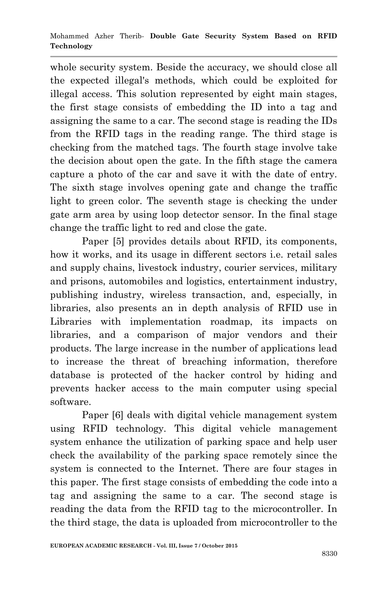whole security system. Beside the accuracy, we should close all the expected illegal's methods, which could be exploited for illegal access. This solution represented by eight main stages, the first stage consists of embedding the ID into a tag and assigning the same to a car. The second stage is reading the IDs from the RFID tags in the reading range. The third stage is checking from the matched tags. The fourth stage involve take the decision about open the gate. In the fifth stage the camera capture a photo of the car and save it with the date of entry. The sixth stage involves opening gate and change the traffic light to green color. The seventh stage is checking the under gate arm area by using loop detector sensor. In the final stage change the traffic light to red and close the gate.

Paper [5] provides details about RFID, its components, how it works, and its usage in different sectors i.e. retail sales and supply chains, livestock industry, courier services, military and prisons, automobiles and logistics, entertainment industry, publishing industry, wireless transaction, and, especially, in libraries, also presents an in depth analysis of RFID use in Libraries with implementation roadmap, its impacts on libraries, and a comparison of major vendors and their products. The large increase in the number of applications lead to increase the threat of breaching information, therefore database is protected of the hacker control by hiding and prevents hacker access to the main computer using special software.

Paper [6] deals with digital vehicle management system using RFID technology. This digital vehicle management system enhance the utilization of parking space and help user check the availability of the parking space remotely since the system is connected to the Internet. There are four stages in this paper. The first stage consists of embedding the code into a tag and assigning the same to a car. The second stage is reading the data from the RFID tag to the microcontroller. In the third stage, the data is uploaded from microcontroller to the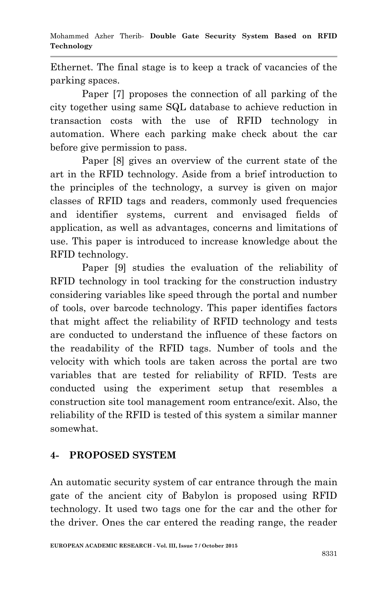Ethernet. The final stage is to keep a track of vacancies of the parking spaces.

Paper [7] proposes the connection of all parking of the city together using same SQL database to achieve reduction in transaction costs with the use of RFID technology in automation. Where each parking make check about the car before give permission to pass.

Paper [8] gives an overview of the current state of the art in the RFID technology. Aside from a brief introduction to the principles of the technology, a survey is given on major classes of RFID tags and readers, commonly used frequencies and identifier systems, current and envisaged fields of application, as well as advantages, concerns and limitations of use. This paper is introduced to increase knowledge about the RFID technology.

Paper [9] studies the evaluation of the reliability of RFID technology in tool tracking for the construction industry considering variables like speed through the portal and number of tools, over barcode technology. This paper identifies factors that might affect the reliability of RFID technology and tests are conducted to understand the influence of these factors on the readability of the RFID tags. Number of tools and the velocity with which tools are taken across the portal are two variables that are tested for reliability of RFID. Tests are conducted using the experiment setup that resembles a construction site tool management room entrance/exit. Also, the reliability of the RFID is tested of this system a similar manner somewhat.

# **4- PROPOSED SYSTEM**

An automatic security system of car entrance through the main gate of the ancient city of Babylon is proposed using RFID technology. It used two tags one for the car and the other for the driver. Ones the car entered the reading range, the reader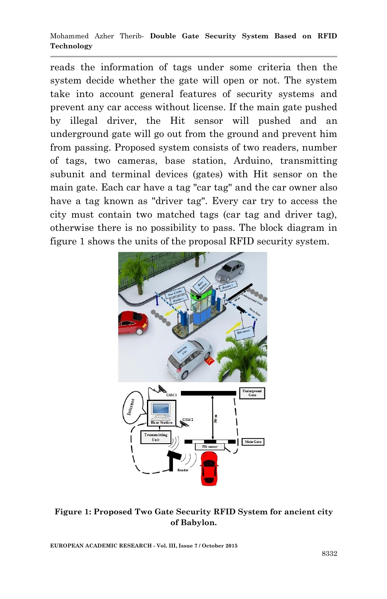reads the information of tags under some criteria then the system decide whether the gate will open or not. The system take into account general features of security systems and prevent any car access without license. If the main gate pushed by illegal driver, the Hit sensor will pushed and an underground gate will go out from the ground and prevent him from passing. Proposed system consists of two readers, number of tags, two cameras, base station, Arduino, transmitting subunit and terminal devices (gates) with Hit sensor on the main gate. Each car have a tag "car tag" and the car owner also have a tag known as "driver tag". Every car try to access the city must contain two matched tags (car tag and driver tag), otherwise there is no possibility to pass. The block diagram in figure 1 shows the units of the proposal RFID security system.



**Figure 1: Proposed Two Gate Security RFID System for ancient city of Babylon.**

**EUROPEAN ACADEMIC RESEARCH - Vol. III, Issue 7 / October 2015**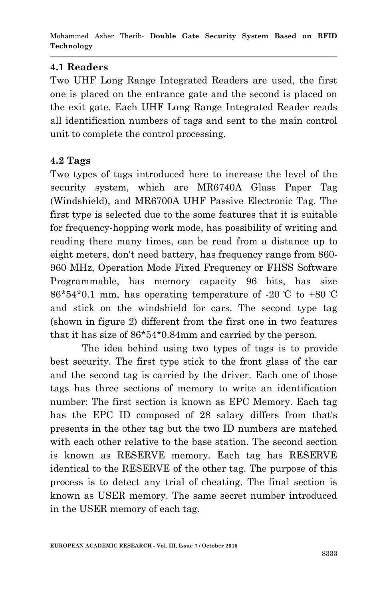## **4.1 Readers**

Two UHF Long Range Integrated Readers are used, the first one is placed on the entrance gate and the second is placed on the exit gate. Each UHF Long Range Integrated Reader reads all identification numbers of tags and sent to the main control unit to complete the control processing.

### **4.2 Tags**

Two types of tags introduced here to increase the level of the security system, which are MR6740A Glass Paper Tag (Windshield), and MR6700A UHF Passive Electronic Tag. The first type is selected due to the some features that it is suitable for frequency-hopping work mode, has possibility of writing and reading there many times, can be read from a distance up to eight meters, don't need battery, has frequency range from 860- 960 MHz, Operation Mode Fixed Frequency or FHSS Software Programmable, has memory capacity 96 bits, has size  $86*54*0.1$  mm, has operating temperature of -20 °C to +80 °C and stick on the windshield for cars. The second type tag (shown in figure 2) different from the first one in two features that it has size of 86\*54\*0.84mm and carried by the person.

The idea behind using two types of tags is to provide best security. The first type stick to the front glass of the car and the second tag is carried by the driver. Each one of those tags has three sections of memory to write an identification number: The first section is known as EPC Memory. Each tag has the EPC ID composed of 28 salary differs from that's presents in the other tag but the two ID numbers are matched with each other relative to the base station. The second section is known as RESERVE memory. Each tag has RESERVE identical to the RESERVE of the other tag. The purpose of this process is to detect any trial of cheating. The final section is known as USER memory. The same secret number introduced in the USER memory of each tag.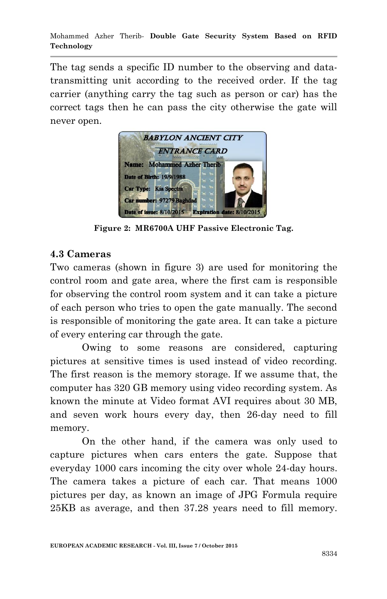The tag sends a specific ID number to the observing and datatransmitting unit according to the received order. If the tag carrier (anything carry the tag such as person or car) has the correct tags then he can pass the city otherwise the gate will never open.



**Figure 2: MR6700A UHF Passive Electronic Tag.**

### **4.3 Cameras**

Two cameras (shown in figure 3) are used for monitoring the control room and gate area, where the first cam is responsible for observing the control room system and it can take a picture of each person who tries to open the gate manually. The second is responsible of monitoring the gate area. It can take a picture of every entering car through the gate.

Owing to some reasons are considered, capturing pictures at sensitive times is used instead of video recording. The first reason is the memory storage. If we assume that, the computer has 320 GB memory using video recording system. As known the minute at Video format AVI requires about 30 MB, and seven work hours every day, then 26-day need to fill memory.

On the other hand, if the camera was only used to capture pictures when cars enters the gate. Suppose that everyday 1000 cars incoming the city over whole 24-day hours. The camera takes a picture of each car. That means 1000 pictures per day, as known an image of JPG Formula require 25KB as average, and then 37.28 years need to fill memory.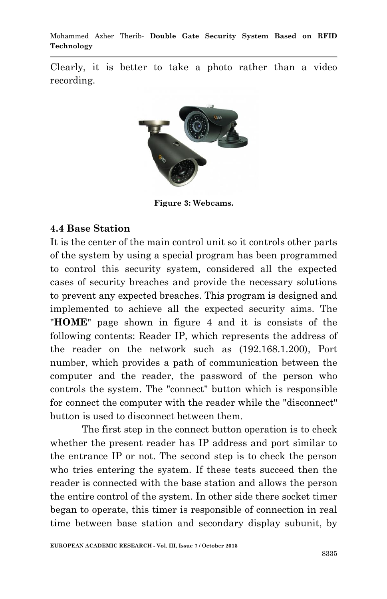Clearly, it is better to take a photo rather than a video recording.



**Figure 3: Webcams.**

#### **4.4 Base Station**

It is the center of the main control unit so it controls other parts of the system by using a special program has been programmed to control this security system, considered all the expected cases of security breaches and provide the necessary solutions to prevent any expected breaches. This program is designed and implemented to achieve all the expected security aims. The "**HOME**" page shown in figure 4 and it is consists of the following contents: Reader IP, which represents the address of the reader on the network such as (192.168.1.200), Port number, which provides a path of communication between the computer and the reader, the password of the person who controls the system. The "connect" button which is responsible for connect the computer with the reader while the "disconnect" button is used to disconnect between them.

The first step in the connect button operation is to check whether the present reader has IP address and port similar to the entrance IP or not. The second step is to check the person who tries entering the system. If these tests succeed then the reader is connected with the base station and allows the person the entire control of the system. In other side there socket timer began to operate, this timer is responsible of connection in real time between base station and secondary display subunit, by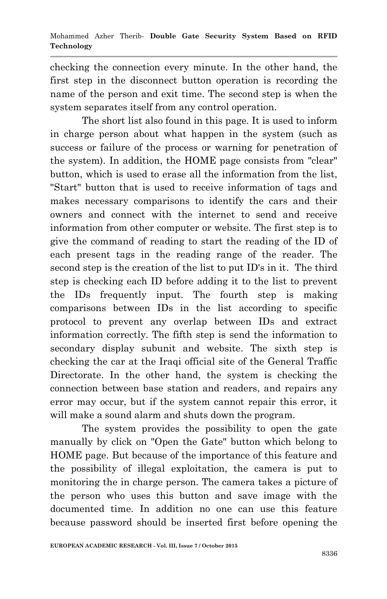checking the connection every minute. In the other hand, the first step in the disconnect button operation is recording the name of the person and exit time. The second step is when the system separates itself from any control operation.

The short list also found in this page. It is used to inform in charge person about what happen in the system (such as success or failure of the process or warning for penetration of the system). In addition, the HOME page consists from "clear" button, which is used to erase all the information from the list, "Start" button that is used to receive information of tags and makes necessary comparisons to identify the cars and their owners and connect with the internet to send and receive information from other computer or website. The first step is to give the command of reading to start the reading of the ID of each present tags in the reading range of the reader. The second step is the creation of the list to put ID's in it. The third step is checking each ID before adding it to the list to prevent the IDs frequently input. The fourth step is making comparisons between IDs in the list according to specific protocol to prevent any overlap between IDs and extract information correctly. The fifth step is send the information to secondary display subunit and website. The sixth step is checking the car at the Iraqi official site of the General Traffic Directorate. In the other hand, the system is checking the connection between base station and readers, and repairs any error may occur, but if the system cannot repair this error, it will make a sound alarm and shuts down the program.

The system provides the possibility to open the gate manually by click on "Open the Gate" button which belong to HOME page. But because of the importance of this feature and the possibility of illegal exploitation, the camera is put to monitoring the in charge person. The camera takes a picture of the person who uses this button and save image with the documented time. In addition no one can use this feature because password should be inserted first before opening the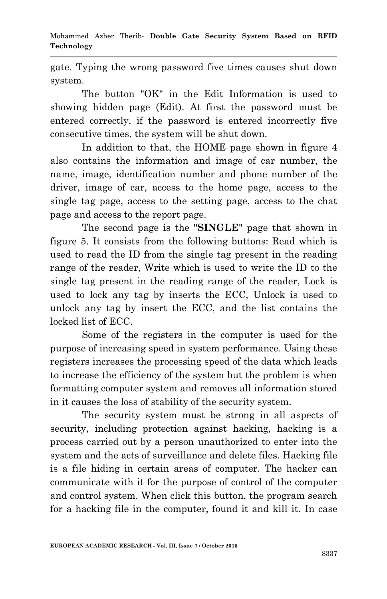gate. Typing the wrong password five times causes shut down system.

The button "OK" in the Edit Information is used to showing hidden page (Edit). At first the password must be entered correctly, if the password is entered incorrectly five consecutive times, the system will be shut down.

In addition to that, the HOME page shown in figure 4 also contains the information and image of car number, the name, image, identification number and phone number of the driver, image of car, access to the home page, access to the single tag page, access to the setting page, access to the chat page and access to the report page.

The second page is the "**SINGLE**" page that shown in figure 5. It consists from the following buttons: Read which is used to read the ID from the single tag present in the reading range of the reader, Write which is used to write the ID to the single tag present in the reading range of the reader, Lock is used to lock any tag by inserts the ECC, Unlock is used to unlock any tag by insert the ECC, and the list contains the locked list of ECC.

Some of the registers in the computer is used for the purpose of increasing speed in system performance. Using these registers increases the processing speed of the data which leads to increase the efficiency of the system but the problem is when formatting computer system and removes all information stored in it causes the loss of stability of the security system.

The security system must be strong in all aspects of security, including protection against hacking, hacking is a process carried out by a person unauthorized to enter into the system and the acts of surveillance and delete files. Hacking file is a file hiding in certain areas of computer. The hacker can communicate with it for the purpose of control of the computer and control system. When click this button, the program search for a hacking file in the computer, found it and kill it. In case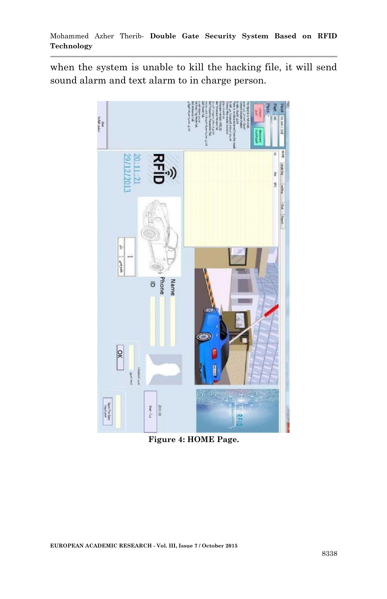when the system is unable to kill the hacking file, it will send sound alarm and text alarm to in charge person.



**Figure 4: HOME Page.**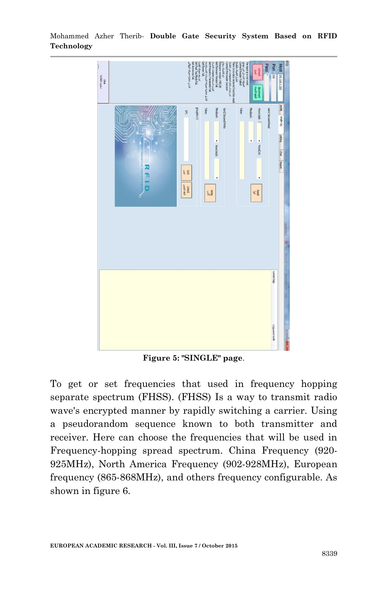$\frac{d\phi}{d\phi}$  and  $\phi$  $E\bar{g}$ **Child**<br>Kind<br>Kind  $\mathcal{C}^{\mathcal{P}}_{\mathbf{X}}$ 医素

Mohammed Azher Therib*-* **Double Gate Security System Based on RFID Technology**

**Figure 5: "SINGLE" page**.

To get or set frequencies that used in frequency hopping separate spectrum (FHSS). (FHSS) Is a way to transmit radio wave's encrypted manner by rapidly switching a carrier. Using a pseudorandom sequence known to both transmitter and receiver. Here can choose the frequencies that will be used in Frequency-hopping spread spectrum. China Frequency (920- 925MHz), North America Frequency (902-928MHz), European frequency (865-868MHz), and others frequency configurable. As shown in figure 6.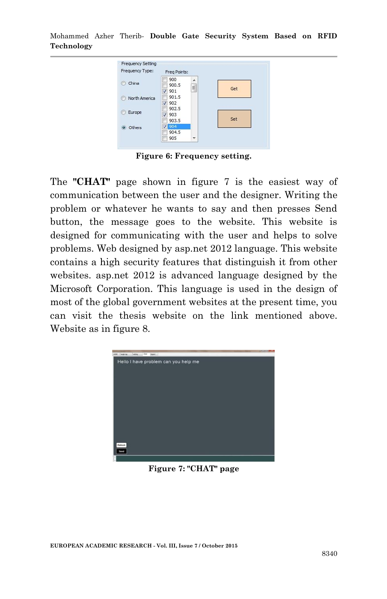Mohammed Azher Therib*-* **Double Gate Security System Based on RFID Technology**

| Frequency Type: | Freq Points:          |         |     |
|-----------------|-----------------------|---------|-----|
| China           | 900<br>900.5<br>901   | J.<br>E | Get |
| North America   | 901.5<br>902          |         |     |
| Europe          | 902.5<br>903          |         | Set |
| Others<br>Θ     | 903.5<br>904<br>904.5 |         |     |
|                 | 905                   | ۳       |     |

**Figure 6: Frequency setting.**

The **"CHAT"** page shown in figure 7 is the easiest way of communication between the user and the designer. Writing the problem or whatever he wants to say and then presses Send button, the message goes to the website. This website is designed for communicating with the user and helps to solve problems. Web designed by asp.net 2012 language. This website contains a high security features that distinguish it from other websites. asp.net 2012 is advanced language designed by the Microsoft Corporation. This language is used in the design of most of the global government websites at the present time, you can visit the thesis website on the link mentioned above. Website as in figure 8.



**Figure 7: "CHAT" page**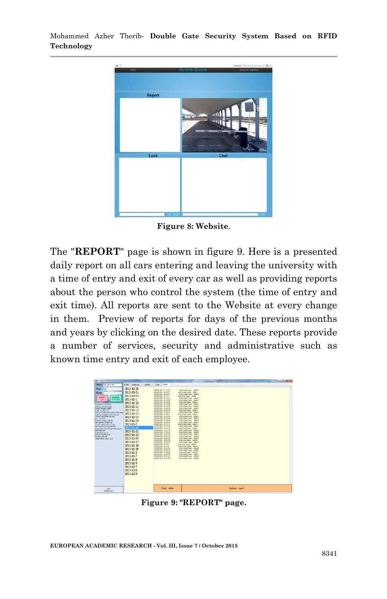

**Figure 8: Website**.

The "**REPORT**" page is shown in figure 9. Here is a presented daily report on all cars entering and leaving the university with a time of entry and exit of every car as well as providing reports about the person who control the system (the time of entry and exit time). All reports are sent to the Website at every change in them. Preview of reports for days of the previous months and years by clicking on the desired date. These reports provide a number of services, security and administrative such as known time entry and exit of each employee.



**Figure 9: "REPORT" page.**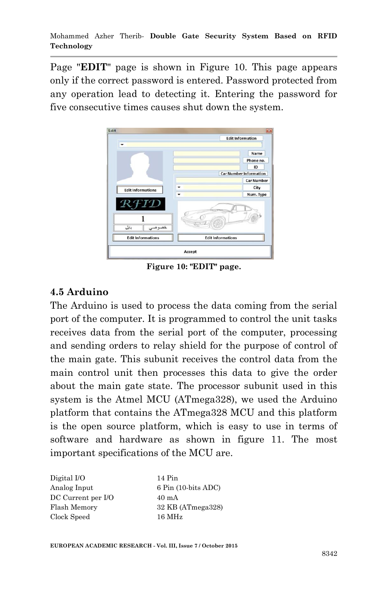Page "**EDIT**" page is shown in Figure 10. This page appears only if the correct password is entered. Password protected from any operation lead to detecting it. Entering the password for five consecutive times causes shut down the system.



**Figure 10: "EDIT" page.**

## **4.5 Arduino**

The Arduino is used to process the data coming from the serial port of the computer. It is programmed to control the unit tasks receives data from the serial port of the computer, processing and sending orders to relay shield for the purpose of control of the main gate. This subunit receives the control data from the main control unit then processes this data to give the order about the main gate state. The processor subunit used in this system is the Atmel MCU (ATmega328), we used the Arduino platform that contains the ATmega328 MCU and this platform is the open source platform, which is easy to use in terms of software and hardware as shown in figure 11. The most important specifications of the MCU are.

| Digital I/O        |  |
|--------------------|--|
| Analog Input       |  |
| DC Current per I/O |  |
| Flash Memory       |  |
| Clock Speed        |  |

 $14$  Pin 6 Pin (10-bits ADC)  $40 \text{ mA}$ 32 KB (ATmega328)  $16$  MHz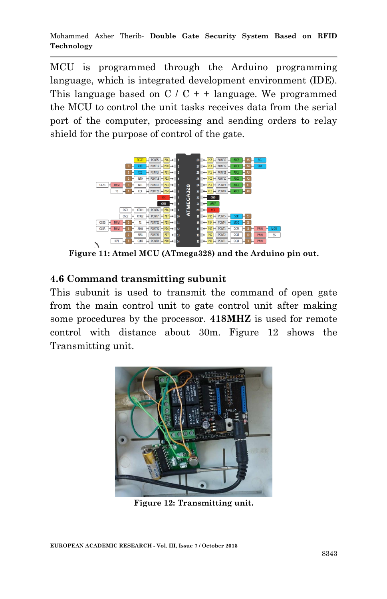MCU is programmed through the Arduino programming language, which is integrated development environment (IDE). This language based on  $C / C + 1$  language. We programmed the MCU to control the unit tasks receives data from the serial port of the computer, processing and sending orders to relay shield for the purpose of control of the gate.



**Figure 11: Atmel MCU (ATmega328) and the Arduino pin out.**

#### **4.6 Command transmitting subunit**

This subunit is used to transmit the command of open gate from the main control unit to gate control unit after making some procedures by the processor. **418MHZ** is used for remote control with distance about 30m. Figure 12 shows the Transmitting unit.



**Figure 12: Transmitting unit.**

**EUROPEAN ACADEMIC RESEARCH - Vol. III, Issue 7 / October 2015**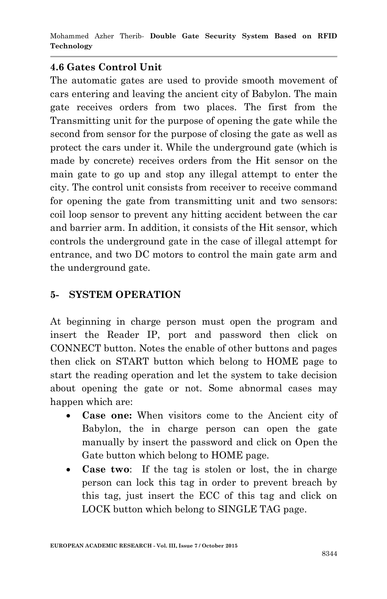### **4.6 Gates Control Unit**

The automatic gates are used to provide smooth movement of cars entering and leaving the ancient city of Babylon. The main gate receives orders from two places. The first from the Transmitting unit for the purpose of opening the gate while the second from sensor for the purpose of closing the gate as well as protect the cars under it. While the underground gate (which is made by concrete) receives orders from the Hit sensor on the main gate to go up and stop any illegal attempt to enter the city. The control unit consists from receiver to receive command for opening the gate from transmitting unit and two sensors: coil loop sensor to prevent any hitting accident between the car and barrier arm. In addition, it consists of the Hit sensor, which controls the underground gate in the case of illegal attempt for entrance, and two DC motors to control the main gate arm and the underground gate.

## **5- SYSTEM OPERATION**

At beginning in charge person must open the program and insert the Reader IP, port and password then click on CONNECT button. Notes the enable of other buttons and pages then click on START button which belong to HOME page to start the reading operation and let the system to take decision about opening the gate or not. Some abnormal cases may happen which are:

- **Case one:** When visitors come to the Ancient city of Babylon, the in charge person can open the gate manually by insert the password and click on Open the Gate button which belong to HOME page.
- **Case two**: If the tag is stolen or lost, the in charge person can lock this tag in order to prevent breach by this tag, just insert the ECC of this tag and click on LOCK button which belong to SINGLE TAG page.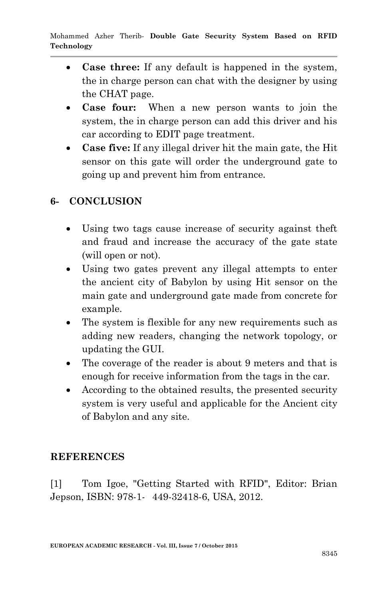- **Case three:** If any default is happened in the system, the in charge person can chat with the designer by using the CHAT page.
- **Case four:** When a new person wants to join the system, the in charge person can add this driver and his car according to EDIT page treatment.
- **Case five:** If any illegal driver hit the main gate, the Hit sensor on this gate will order the underground gate to going up and prevent him from entrance.

# **6- CONCLUSION**

- Using two tags cause increase of security against theft and fraud and increase the accuracy of the gate state (will open or not).
- Using two gates prevent any illegal attempts to enter the ancient city of Babylon by using Hit sensor on the main gate and underground gate made from concrete for example.
- The system is flexible for any new requirements such as adding new readers, changing the network topology, or updating the GUI.
- The coverage of the reader is about 9 meters and that is enough for receive information from the tags in the car.
- According to the obtained results, the presented security system is very useful and applicable for the Ancient city of Babylon and any site.

### **REFERENCES**

[1] Tom Igoe, "Getting Started with RFID", Editor: Brian Jepson, ISBN: 978-1-449-32418-6, USA, 2012.